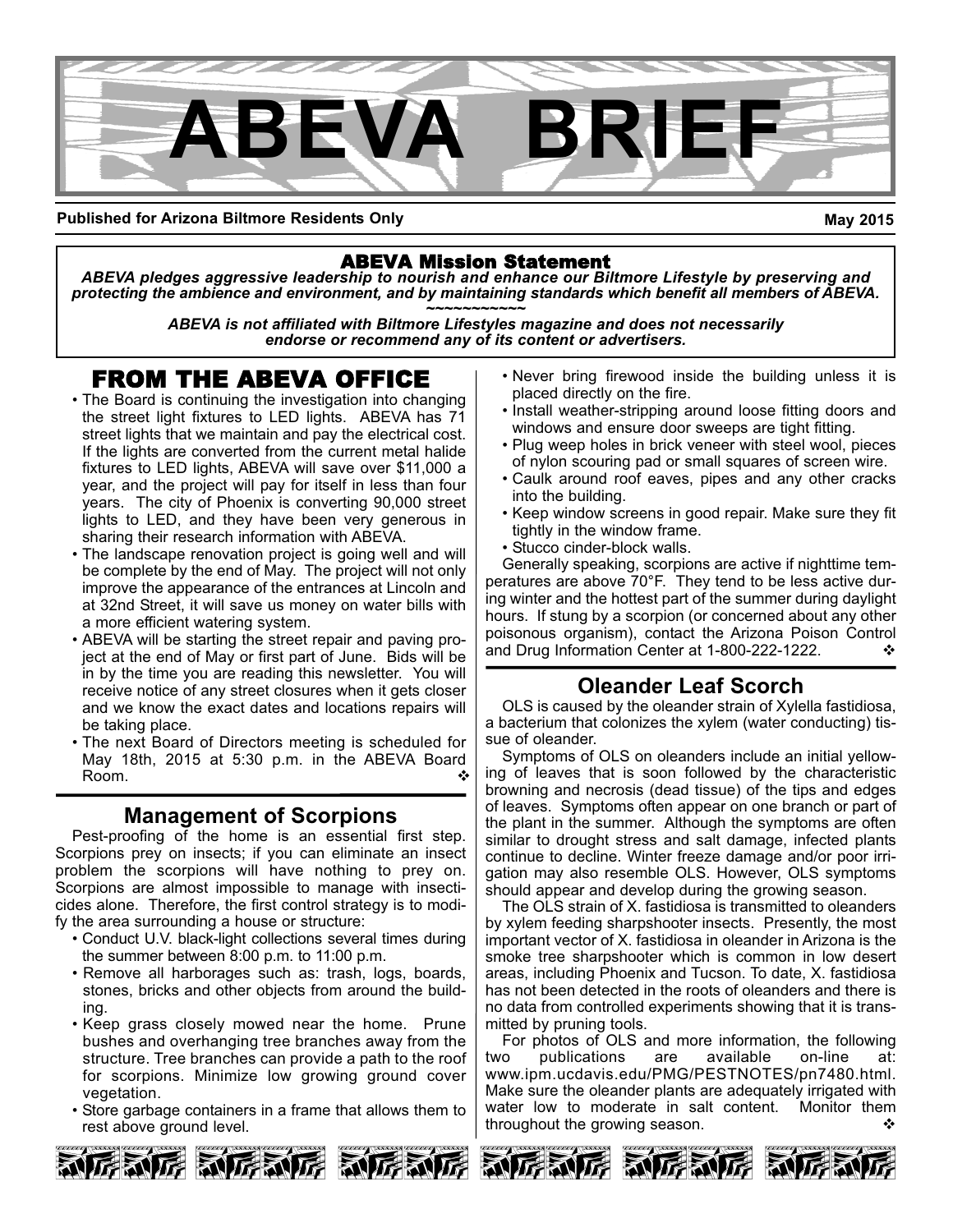

**Published for Arizona Biltmore Residents Only**

**May 2015**

### ABEVA Mission Statement

*ABEVA pledges aggressive leadership to nourish and enhance our Biltmore Lifestyle by preserving and protecting the ambience and environment, and by maintaining standards which benefit all members of ABEVA. ~~~~~~~~~~~*

*ABEVA is not affiliated with Biltmore Lifestyles magazine and does not necessarily endorse or recommend any of its content or advertisers.*

# FROM THE ABEVA OFFICE

- The Board is continuing the investigation into changing the street light fixtures to LED lights. ABEVA has 71 street lights that we maintain and pay the electrical cost. If the lights are converted from the current metal halide fixtures to LED lights, ABEVA will save over \$11,000 a year, and the project will pay for itself in less than four years. The city of Phoenix is converting 90,000 street lights to LED, and they have been very generous in sharing their research information with ABEVA.
- The landscape renovation project is going well and will be complete by the end of May. The project will not only improve the appearance of the entrances at Lincoln and at 32nd Street, it will save us money on water bills with a more efficient watering system.
- ABEVA will be starting the street repair and paving project at the end of May or first part of June. Bids will be in by the time you are reading this newsletter. You will receive notice of any street closures when it gets closer and we know the exact dates and locations repairs will be taking place.
- The next Board of Directors meeting is scheduled for May 18th, 2015 at 5:30 p.m. in the ABEVA Board Room. v

# **Management of Scorpions**

Pest-proofing of the home is an essential first step. Scorpions prey on insects; if you can eliminate an insect problem the scorpions will have nothing to prey on. Scorpions are almost impossible to manage with insecticides alone. Therefore, the first control strategy is to modify the area surrounding a house or structure:

- Conduct U.V. black-light collections several times during the summer between 8:00 p.m. to 11:00 p.m.
- Remove all harborages such as: trash, logs, boards, stones, bricks and other objects from around the building.
- Keep grass closely mowed near the home. Prune bushes and overhanging tree branches away from the structure. Tree branches can provide a path to the roof for scorpions. Minimize low growing ground cover vegetation.
- Store garbage containers in a frame that allows them to rest above ground level.
- Never bring firewood inside the building unless it is placed directly on the fire.
- Install weather-stripping around loose fitting doors and windows and ensure door sweeps are tight fitting.
- Plug weep holes in brick veneer with steel wool, pieces of nylon scouring pad or small squares of screen wire.
- Caulk around roof eaves, pipes and any other cracks into the building.
- Keep window screens in good repair. Make sure they fit tightly in the window frame.
- Stucco cinder-block walls.

Generally speaking, scorpions are active if nighttime temperatures are above 70°F. They tend to be less active during winter and the hottest part of the summer during daylight hours. If stung by a scorpion (or concerned about any other poisonous organism), contact the Arizona Poison Control and Drug Information Center at 1-800-222-1222.  $\cdot\cdot\cdot$ 

# **Oleander Leaf Scorch**

OLS is caused by the oleander strain of Xylella fastidiosa, a bacterium that colonizes the xylem (water conducting) tissue of oleander.

Symptoms of OLS on oleanders include an initial yellowing of leaves that is soon followed by the characteristic browning and necrosis (dead tissue) of the tips and edges of leaves. Symptoms often appear on one branch or part of the plant in the summer. Although the symptoms are often similar to drought stress and salt damage, infected plants continue to decline. Winter freeze damage and/or poor irrigation may also resemble OLS. However, OLS symptoms should appear and develop during the growing season.

The OLS strain of X. fastidiosa is transmitted to oleanders by xylem feeding sharpshooter insects. Presently, the most important vector of X. fastidiosa in oleander in Arizona is the smoke tree sharpshooter which is common in low desert areas, including Phoenix and Tucson. To date, X. fastidiosa has not been detected in the roots of oleanders and there is no data from controlled experiments showing that it is transmitted by pruning tools.

For photos of OLS and more information, the following<br>o publications are available on-line at: two publications are available on-line at: www.ipm.ucdavis.edu/PMG/PESTNOTES/pn7480.html. Make sure the oleander plants are adequately irrigated with water low to moderate in salt content. Monitor them throughout the growing season.  $\cdot$ 







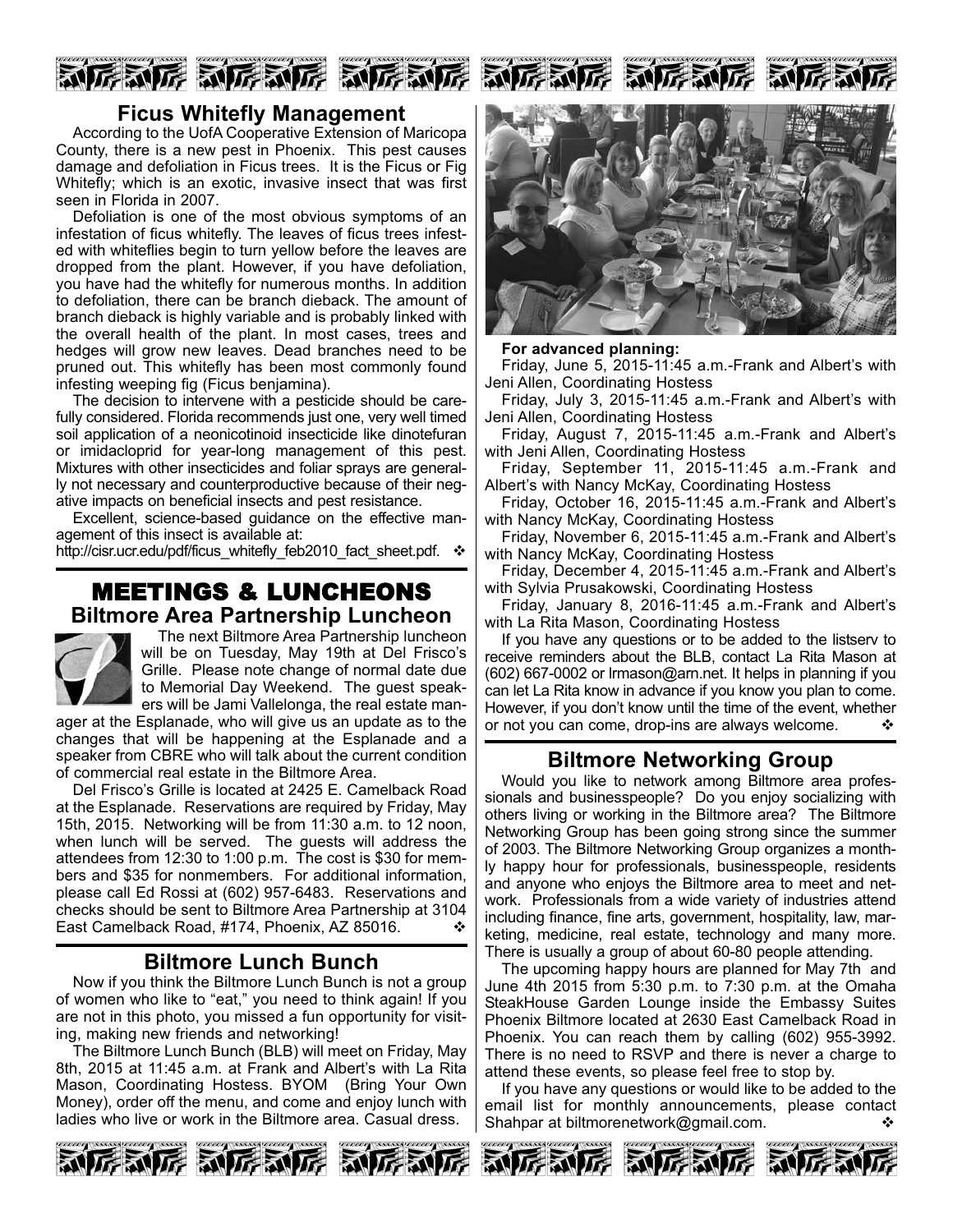

## **Ficus Whitefly Management**

According to the UofA Cooperative Extension of Maricopa County, there is a new pest in Phoenix. This pest causes damage and defoliation in Ficus trees. It is the Ficus or Fig Whitefly; which is an exotic, invasive insect that was first seen in Florida in 2007.

Defoliation is one of the most obvious symptoms of an infestation of ficus whitefly. The leaves of ficus trees infested with whiteflies begin to turn yellow before the leaves are dropped from the plant. However, if you have defoliation, you have had the whitefly for numerous months. In addition to defoliation, there can be branch dieback. The amount of branch dieback is highly variable and is probably linked with the overall health of the plant. In most cases, trees and hedges will grow new leaves. Dead branches need to be pruned out. This whitefly has been most commonly found infesting weeping fig (Ficus benjamina).

The decision to intervene with a pesticide should be carefully considered. Florida recommends just one, very well timed soil application of a neonicotinoid insecticide like dinotefuran or imidacloprid for yearlong management of this pest. Mixtures with other insecticides and foliar sprays are generally not necessary and counterproductive because of their negative impacts on beneficial insects and pest resistance.

Excellent, science-based guidance on the effective management of this insect is available at:

http://cisr.ucr.edu/pdf/ficus\_whitefly\_feb2010\_fact\_sheet.pdf.  $\cdot$ 

# MEETINGS & LUNCHEONS **Biltmore Area Partnership Luncheon**



The next Biltmore Area Partnership luncheon will be on Tuesday, May 19th at Del Frisco's Grille. Please note change of normal date due to Memorial Day Weekend. The guest speakers will be Jami Vallelonga, the real estate man-

ager at the Esplanade, who will give us an update as to the changes that will be happening at the Esplanade and a speaker from CBRE who will talk about the current condition of commercial real estate in the Biltmore Area.

Del Frisco's Grille is located at 2425 E. Camelback Road at the Esplanade. Reservations are required by Friday, May 15th, 2015. Networking will be from 11:30 a.m. to 12 noon, when lunch will be served. The guests will address the attendees from 12:30 to 1:00 p.m. The cost is \$30 for members and \$35 for nonmembers. For additional information, please call Ed Rossi at (602) 957-6483. Reservations and checks should be sent to Biltmore Area Partnership at 3104 East Camelback Road, #174, Phoenix, AZ 85016.

# **Biltmore Lunch Bunch**

Now if you think the Biltmore Lunch Bunch is not a group of women who like to "eat," you need to think again! If you are not in this photo, you missed a fun opportunity for visiting, making new friends and networking!

The Biltmore Lunch Bunch (BLB) will meet on Friday, May 8th, 2015 at 11:45 a.m. at Frank and Albert's with La Rita Mason, Coordinating Hostess. BYOM (Bring Your Own Money), order off the menu, and come and enjoy lunch with ladies who live or work in the Biltmore area. Casual dress.



#### **For advanced planning:**

Friday, June 5, 2015-11:45 a.m.-Frank and Albert's with Jeni Allen, Coordinating Hostess

Friday, July 3, 2015-11:45 a.m.-Frank and Albert's with Jeni Allen, Coordinating Hostess

Friday, August 7, 2015-11:45 a.m.-Frank and Albert's with Jeni Allen, Coordinating Hostess

Friday, September 11, 2015-11:45 a.m.-Frank and Albert's with Nancy McKay, Coordinating Hostess

Friday, October 16, 2015-11:45 a.m.-Frank and Albert's with Nancy McKay, Coordinating Hostess

Friday, November 6, 2015-11:45 a.m.-Frank and Albert's with Nancy McKay, Coordinating Hostess

Friday, December 4, 2015-11:45 a.m.-Frank and Albert's with Sylvia Prusakowski, Coordinating Hostess

Friday, January 8, 2016-11:45 a.m.-Frank and Albert's with La Rita Mason, Coordinating Hostess

If you have any questions or to be added to the listserv to receive reminders about the BLB, contact La Rita Mason at  $(602)$  667-0002 or lrmason@arn.net. It helps in planning if you can let La Rita know in advance if you know you plan to come. However, if you don't know until the time of the event, whether or not you can come, drop-ins are always welcome.  $\cdot \cdot \cdot$ 

### **Biltmore Networking Group**

Would you like to network among Biltmore area professionals and businesspeople? Do you enjoy socializing with others living or working in the Biltmore area? The Biltmore Networking Group has been going strong since the summer of 2003. The Biltmore Networking Group organizes a monthly happy hour for professionals, businesspeople, residents and anyone who enjoys the Biltmore area to meet and network. Professionals from a wide variety of industries attend including finance, fine arts, government, hospitality, law, marketing, medicine, real estate, technology and many more. There is usually a group of about 60-80 people attending.

The upcoming happy hours are planned for May 7th and June 4th 2015 from 5:30 p.m. to 7:30 p.m. at the Omaha SteakHouse Garden Lounge inside the Embassy Suites Phoenix Biltmore located at 2630 East Camelback Road in Phoenix. You can reach them by calling (602) 955-3992. There is no need to RSVP and there is never a charge to attend these events, so please feel free to stop by.

If you have any questions or would like to be added to the email list for monthly announcements, please contact Shahpar at biltmorenetwork@gmail.com.  $\diamond$ 





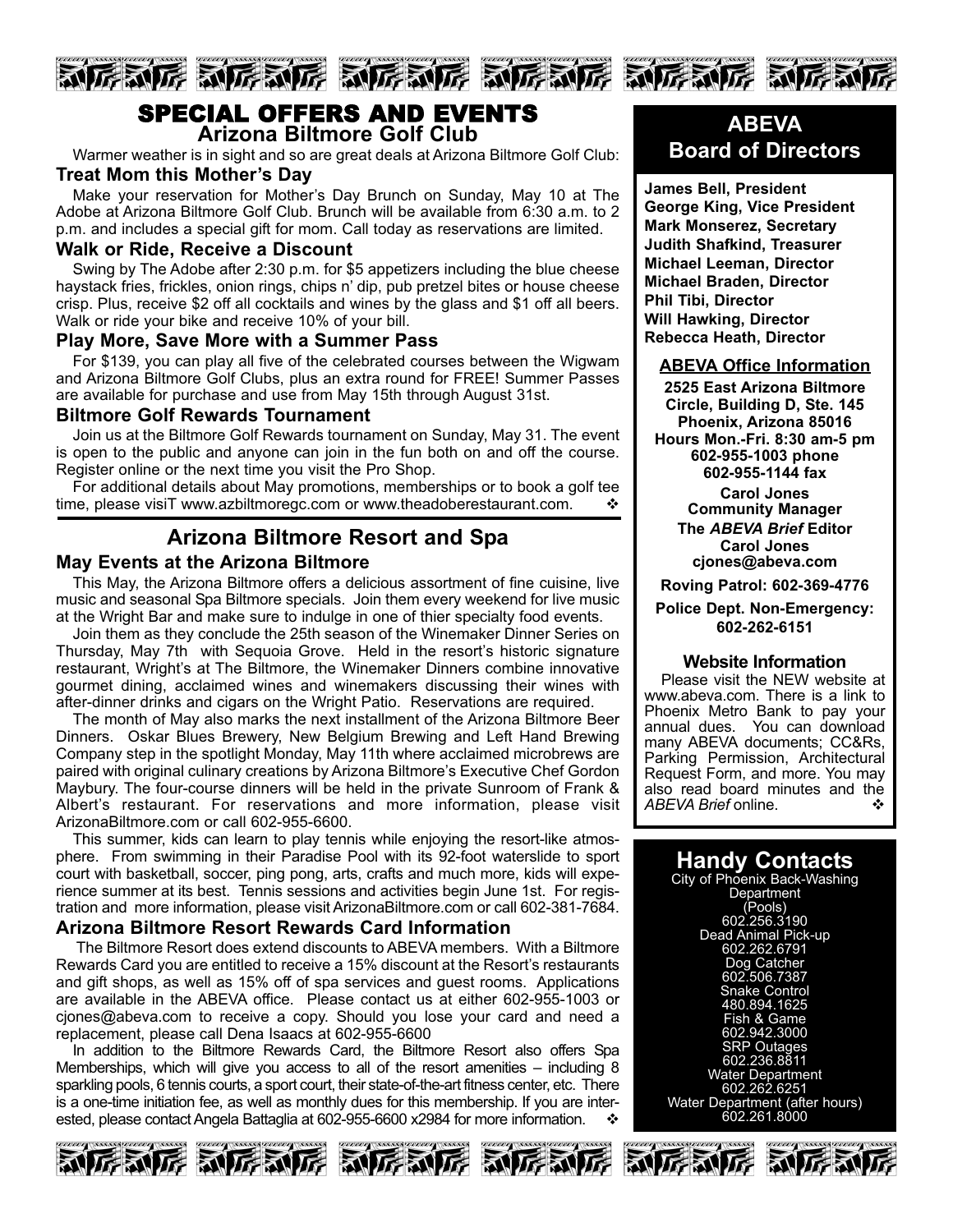

# SPECIAL OFFERS AND EVENTS **Arizona Biltmore Golf Club**

Warmer weather is in sight and so are great deals at Arizona Biltmore Golf Club:

#### **Treat Mom this Mother's Day**

Make your reservation for Mother's Day Brunch on Sunday, May 10 at The Adobe at Arizona Biltmore Golf Club. Brunch will be available from 6:30 a.m. to 2 p.m. and includes a special gift for mom. Call today as reservations are limited.

#### **Walk or Ride, Receive a Discount**

Swing by The Adobe after 2:30 p.m. for \$5 appetizers including the blue cheese haystack fries, frickles, onion rings, chips n' dip, pub pretzel bites or house cheese crisp. Plus, receive \$2 off all cocktails and wines by the glass and \$1 off all beers. Walk or ride your bike and receive 10% of your bill.

#### **Play More, Save More with a Summer Pass**

For \$139, you can play all five of the celebrated courses between the Wigwam and Arizona Biltmore Golf Clubs, plus an extra round for FREE! Summer Passes are available for purchase and use from May 15th through August 31st.

#### **Biltmore Golf Rewards Tournament**

Join us at the Biltmore Golf Rewards tournament on Sunday, May 31. The event is open to the public and anyone can join in the fun both on and off the course. Register online or the next time you visit the Pro Shop.

For additional details about May promotions, memberships or to book a golf tee time, please visiT www.azbiltmoregc.com or www.theadoberestaurant.com.  $\cdot \cdot$ 

# **Arizona Biltmore Resort and Spa**

#### **May Events at the Arizona Biltmore**

This May, the Arizona Biltmore offers a delicious assortment of fine cuisine, live music and seasonal Spa Biltmore specials. Join them every weekend for live music at the Wright Bar and make sure to indulge in one of thier specialty food events.

Join them as they conclude the 25th season of the Winemaker Dinner Series on Thursday, May 7th with Sequoia Grove. Held in the resort's historic signature restaurant, Wright's at The Biltmore, the Winemaker Dinners combine innovative gourmet dining, acclaimed wines and winemakers discussing their wines with after-dinner drinks and cigars on the Wright Patio. Reservations are required.

The month of May also marks the next installment of the Arizona Biltmore Beer Dinners. Oskar Blues Brewery, New Belgium Brewing and Left Hand Brewing Company step in the spotlight Monday, May 11th where acclaimed microbrews are paired with original culinary creations by Arizona Biltmore's Executive Chef Gordon Maybury. The four-course dinners will be held in the private Sunroom of Frank & Albert's restaurant. For reservations and more information, please visit ArizonaBiltmore.com or call 602-955-6600.

This summer, kids can learn to play tennis while enjoying the resort-like atmosphere. From swimming in their Paradise Pool with its 92-foot waterslide to sport court with basketball, soccer, ping pong, arts, crafts and much more, kids will experience summer at its best. Tennis sessions and activities begin June 1st. For registration and more information, please visit ArizonaBiltmore.com or call 602-381-7684.

#### **Arizona Biltmore Resort Rewards Card Information**

The Biltmore Resort does extend discounts to ABEVA members. With a Biltmore Rewards Card you are entitled to receive a 15% discount at the Resort's restaurants and gift shops, as well as 15% off of spa services and guest rooms. Applications are available in the ABEVA office. Please contact us at either 602-955-1003 or cjones@abeva.com to receive a copy. Should you lose your card and need a replacement, please call Dena Isaacs at 602-955-6600

In addition to the Biltmore Rewards Card, the Biltmore Resort also offers Spa Memberships, which will give you access to all of the resort amenities – including 8 sparkling pools, 6 tennis courts, a sport court, their state-of-the-art fitness center, etc. There is a one-time initiation fee, as well as monthly dues for this membership. If you are interested, please contact Angela Battaglia at 602-955-6600 x2984 for more information.



**James Bell, President George King, Vice President Mark Monserez, Secretary Judith Shafkind, Treasurer Michael Leeman, Director Michael Braden, Director Phil Tibi, Director Will Hawking, Director Rebecca Heath, Director**

#### **ABEVA Office Information**

**2525 East Arizona Biltmore Circle, Building D, Ste. 145 Phoenix, Arizona 85016 Hours Mon.-Fri. 8:30 am-5 pm 6029551003 phone 6029551144 fax**

**Carol Jones Community Manager The** *ABEVA Brief* **Editor Carol Jones cjones@abeva.com**

**Roving Patrol: 6023694776**

**Police Dept. Non-Emergency: 6022626151**

#### **Website Information**

Please visit the NEW website at www.abeva.com. There is a link to Phoenix Metro Bank to pay your annual dues. You can download many ABEVA documents; CC&Rs, Parking Permission, Architectural Request Form, and more. You may also read board minutes and the *ABEVA Brief* online. ◆

# **Handy Contacts**

City of Phoenix Back-Washing **Department** (Pools) 602.256.3190 Dead Animal Pick-up 602.262.6791 Dog Catcher 602.506.7387 Snake Control 480.894.1625 Fish & Game 602.942.3000 SRP Outages 602.236.8811 Water Department 602.262.6251 Water Department (after hours) 602.261.8000